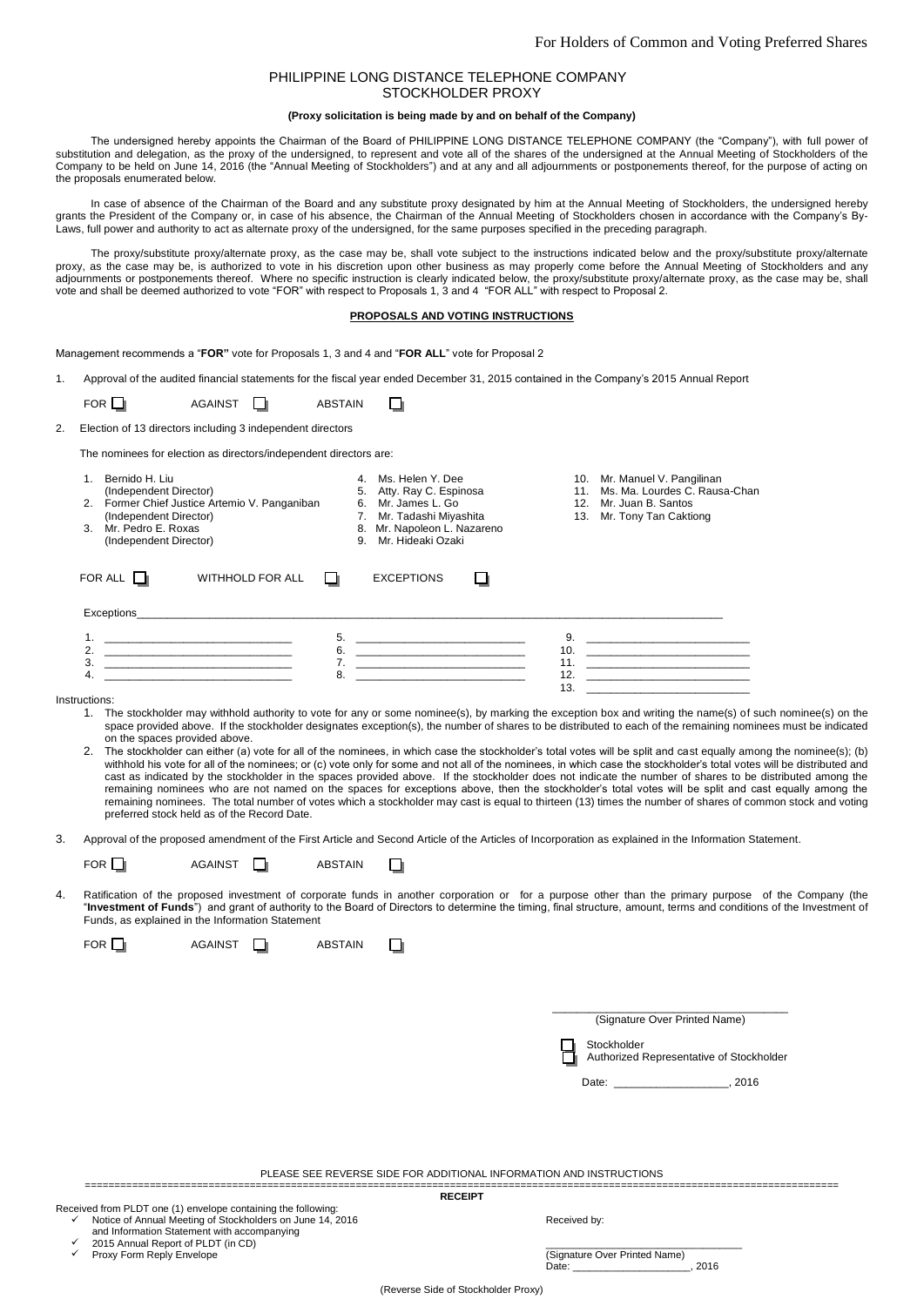# PHILIPPINE LONG DISTANCE TELEPHONE COMPANY STOCKHOLDER PROXY

## **(Proxy solicitation is being made by and on behalf of the Company)**

The undersigned hereby appoints the Chairman of the Board of PHILIPPINE LONG DISTANCE TELEPHONE COMPANY (the "Company"), with full power of substitution and delegation, as the proxy of the undersigned, to represent and vote all of the shares of the undersigned at the Annual Meeting of Stockholders of the Company to be held on June 14, 2016 (the "Annual Meeting of Stockholders") and at any and all adjournments or postponements thereof, for the purpose of acting on the proposals enumerated below.

In case of absence of the Chairman of the Board and any substitute proxy designated by him at the Annual Meeting of Stockholders, the undersigned hereby grants the President of the Company or, in case of his absence, the Chairman of the Annual Meeting of Stockholders chosen in accordance with the Company's By-Laws, full power and authority to act as alternate proxy of the undersigned, for the same purposes specified in the preceding paragraph.

The proxy/substitute proxy/alternate proxy, as the case may be, shall vote subject to the instructions indicated below and the proxy/substitute proxy/alternate proxy, as the case may be, is authorized to vote in his discretion upon other business as may properly come before the Annual Meeting of Stockholders and any adjournments or postponements thereof. Where no specific instruction is clearly indicated below, the proxy/substitute proxy/alternate proxy, as the case may be, shall vote and shall be deemed authorized to vote "FOR" with respect to Proposals 1, 3 and 4 "FOR ALL" with respect to Proposal 2.

## **PROPOSALS AND VOTING INSTRUCTIONS**

Management recommends a "**FOR"** vote for Proposals 1, 3 and 4 and "**FOR ALL**" vote for Proposal 2

1. Approval of the audited financial statements for the fiscal year ended December 31, 2015 contained in the Company's 2015 Annual Report

П

| FOR | <b>AGAINST</b> | <b>ABSTAIN</b> |
|-----|----------------|----------------|
|-----|----------------|----------------|

| Election of 13 directors including 3 independent directors |  |
|------------------------------------------------------------|--|

The nominees for election as directors/independent directors are:

| Bernido H. Liu<br>3 | (Independent Director)<br>2. Former Chief Justice Artemio V. Panganiban<br>(Independent Director)<br>Mr. Pedro E. Roxas<br>(Independent Director) |    | Ms. Helen Y. Dee<br>Atty. Ray C. Espinosa<br>5.<br>Mr. James L. Go<br>6.<br>Mr. Tadashi Miyashita<br>Mr. Napoleon L. Nazareno<br>8.<br>Mr. Hideaki Ozaki<br>9. | 11.<br>12.<br>13. | 10. Mr. Manuel V. Pangilinan<br>Ms. Ma. Lourdes C. Rausa-Chan<br>Mr. Juan B. Santos<br>Mr. Tony Tan Caktiong |
|---------------------|---------------------------------------------------------------------------------------------------------------------------------------------------|----|----------------------------------------------------------------------------------------------------------------------------------------------------------------|-------------------|--------------------------------------------------------------------------------------------------------------|
| FOR ALL             | WITHHOLD FOR ALL                                                                                                                                  |    | <b>EXCEPTIONS</b>                                                                                                                                              |                   |                                                                                                              |
| Exceptions          |                                                                                                                                                   |    |                                                                                                                                                                |                   |                                                                                                              |
| 1.                  |                                                                                                                                                   | 5. |                                                                                                                                                                | 9.                |                                                                                                              |
| 2.                  |                                                                                                                                                   | 6. |                                                                                                                                                                | 10.               |                                                                                                              |
| 3.                  |                                                                                                                                                   |    |                                                                                                                                                                | 11.               |                                                                                                              |
|                     |                                                                                                                                                   | 8  |                                                                                                                                                                | 12.               |                                                                                                              |
|                     |                                                                                                                                                   |    |                                                                                                                                                                | 13.               |                                                                                                              |

**Instructions:** 

- 1. The stockholder may withhold authority to vote for any or some nominee(s), by marking the exception box and writing the name(s) of such nominee(s) on the space provided above. If the stockholder designates exception(s), the number of shares to be distributed to each of the remaining nominees must be indicated on the spaces provided above.
- 2. The stockholder can either (a) vote for all of the nominees, in which case the stockholder's total votes will be split and cast equally among the nominee(s); (b) withhold his vote for all of the nominees; or (c) vote only for some and not all of the nominees, in which case the stockholder's total votes will be distributed and cast as indicated by the stockholder in the spaces provided above. If the stockholder does not indicate the number of shares to be distributed among the remaining nominees who are not named on the spaces for exceptions above, then the stockholder's total votes will be split and cast equally among the remaining nominees. The total number of votes which a stockholder may cast is equal to thirteen (13) times the number of shares of common stock and voting preferred stock held as of the Record Date.
- 3. Approval of the proposed amendment of the First Article and Second Article of the Articles of Incorporation as explained in the Information Statement.

|    | FOR $\Box$                                                                                                                                                                                                                                                                                                                                                                       | <b>AGAINST</b>                                                                                                                                                            |  | <b>ABSTAIN</b> |              |  |                                                                                                                                                                                                                                |       |
|----|----------------------------------------------------------------------------------------------------------------------------------------------------------------------------------------------------------------------------------------------------------------------------------------------------------------------------------------------------------------------------------|---------------------------------------------------------------------------------------------------------------------------------------------------------------------------|--|----------------|--------------|--|--------------------------------------------------------------------------------------------------------------------------------------------------------------------------------------------------------------------------------|-------|
| 4. | Ratification of the proposed investment of corporate funds in another corporation or for a purpose other than the primary purpose of the Company (the<br>"Investment of Funds") and grant of authority to the Board of Directors to determine the timing, final structure, amount, terms and conditions of the Investment of<br>Funds, as explained in the Information Statement |                                                                                                                                                                           |  |                |              |  |                                                                                                                                                                                                                                |       |
|    | $FOR$ $\Box$                                                                                                                                                                                                                                                                                                                                                                     | <b>AGAINST</b>                                                                                                                                                            |  | <b>ABSTAIN</b> | - 1          |  |                                                                                                                                                                                                                                |       |
|    |                                                                                                                                                                                                                                                                                                                                                                                  |                                                                                                                                                                           |  |                |              |  | (Signature Over Printed Name)<br>Stockholder                                                                                                                                                                                   |       |
|    |                                                                                                                                                                                                                                                                                                                                                                                  |                                                                                                                                                                           |  |                |              |  | Authorized Representative of Stockholder                                                                                                                                                                                       |       |
|    |                                                                                                                                                                                                                                                                                                                                                                                  |                                                                                                                                                                           |  |                |              |  | Date: the contract of the contract of the contract of the contract of the contract of the contract of the contract of the contract of the contract of the contract of the contract of the contract of the contract of the cont | .2016 |
|    |                                                                                                                                                                                                                                                                                                                                                                                  |                                                                                                                                                                           |  |                |              |  |                                                                                                                                                                                                                                |       |
|    | PLEASE SEE REVERSE SIDE FOR ADDITIONAL INFORMATION AND INSTRUCTIONS                                                                                                                                                                                                                                                                                                              |                                                                                                                                                                           |  |                |              |  |                                                                                                                                                                                                                                |       |
|    | <b>RECEIPT</b>                                                                                                                                                                                                                                                                                                                                                                   |                                                                                                                                                                           |  |                |              |  |                                                                                                                                                                                                                                |       |
| ✓  | 2015 Annual Report of PLDT (in CD)                                                                                                                                                                                                                                                                                                                                               | Received from PLDT one (1) envelope containing the following:<br>Notice of Annual Meeting of Stockholders on June 14, 2016<br>and Information Statement with accompanying |  |                | Received by: |  |                                                                                                                                                                                                                                |       |
|    |                                                                                                                                                                                                                                                                                                                                                                                  | Proxy Form Reply Envelope                                                                                                                                                 |  |                |              |  | (Signature Over Printed Name)                                                                                                                                                                                                  | 2016  |